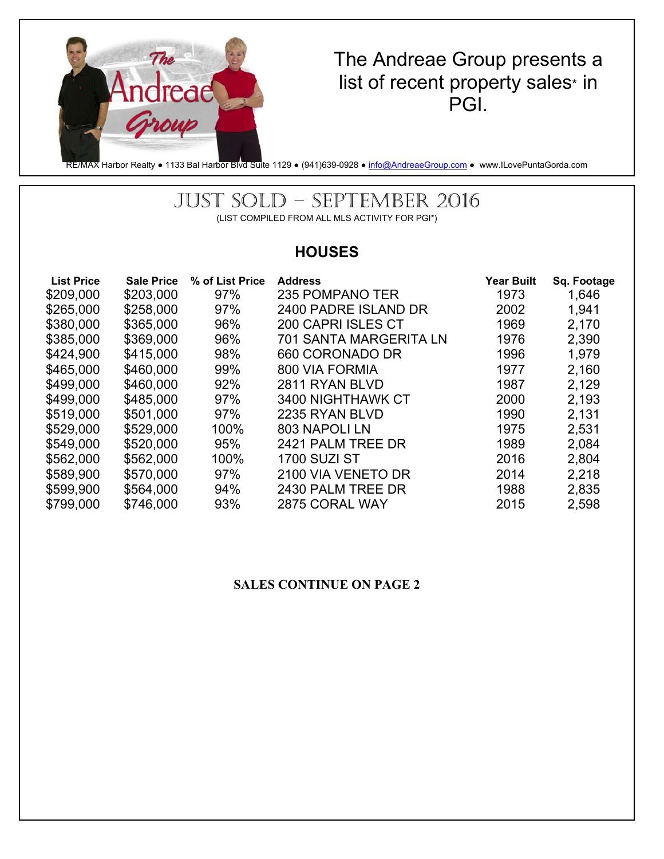

The Andreae Group presents a list of recent property sales\* in PGI.

RE/MAX Harbor Realty • 1133 Bal Harbor Blvd Suite 1129 • (941)639-0928 • info@AndreaeGroup.com • www.ILovePuntaGorda.com

### JUST SOLD – SEPTEMBER 2016 (LIST COMPILED FROM ALL MLS ACTIVITY FOR PGI\*)

# **HOUSES**

| <b>List Price</b> | <b>Sale Price</b> | % of List Price | <b>Address</b>                | <b>Year Built</b> | Sq. Footage |
|-------------------|-------------------|-----------------|-------------------------------|-------------------|-------------|
| \$209,000         | \$203,000         | 97%             | 235 POMPANO TER               | 1973              | 1,646       |
| \$265,000         | \$258,000         | 97%             | 2400 PADRE ISLAND DR          | 2002              | 1,941       |
| \$380,000         | \$365,000         | 96%             | <b>200 CAPRI ISLES CT</b>     | 1969              | 2,170       |
| \$385,000         | \$369,000         | 96%             | <b>701 SANTA MARGERITA LN</b> | 1976              | 2,390       |
| \$424,900         | \$415,000         | 98%             | 660 CORONADO DR               | 1996              | 1,979       |
| \$465,000         | \$460,000         | 99%             | 800 VIA FORMIA                | 1977              | 2,160       |
| \$499,000         | \$460,000         | 92%             | 2811 RYAN BLVD                | 1987              | 2,129       |
| \$499,000         | \$485,000         | 97%             | 3400 NIGHTHAWK CT             | 2000              | 2,193       |
| \$519,000         | \$501,000         | 97%             | 2235 RYAN BLVD                | 1990              | 2,131       |
| \$529,000         | \$529,000         | 100%            | 803 NAPOLI LN                 | 1975              | 2,531       |
| \$549,000         | \$520,000         | 95%             | 2421 PALM TREE DR             | 1989              | 2,084       |
| \$562,000         | \$562,000         | 100%            | <b>1700 SUZI ST</b>           | 2016              | 2,804       |
| \$589,900         | \$570,000         | 97%             | 2100 VIA VENETO DR            | 2014              | 2,218       |
| \$599,900         | \$564,000         | 94%             | 2430 PALM TREE DR             | 1988              | 2,835       |
| \$799,000         | \$746,000         | 93%             | 2875 CORAL WAY                | 2015              | 2,598       |

#### **SALES CONTINUE ON PAGE 2**